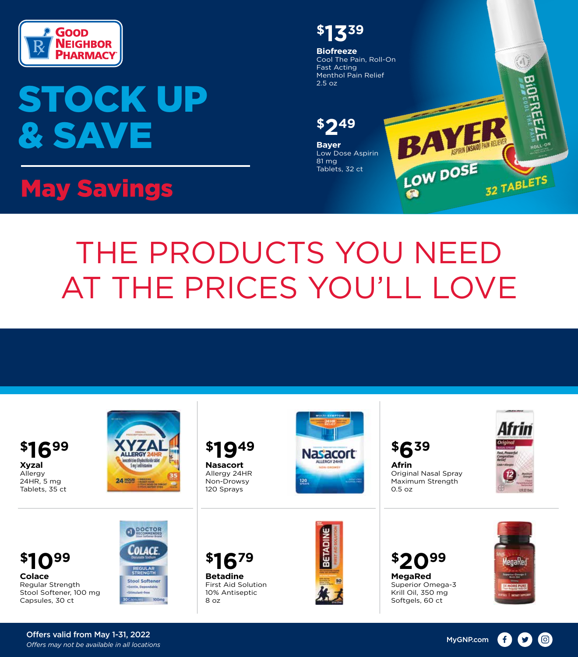

## STOCK UP & SAVE

## May Savings

**\$1339 Biofreeze** Cool The Pain, Roll-On 编 Fast Acting Menthol Pain Relief 2.5 oz **Property \$249**BAL MESAL **Bayer** Low Dose Aspirin 81 mg Tablets, 32 ct 32 TABLETS

## THE PRODUCTS YOU NEED AT THE PRICES YOU'LL LOVE

**Xyzal** Allergy 24HR, 5 mg Tablets, 35 ct



**Nasacort** Allergy 24HR Non-Drowsy 120 Sprays



**Afrin** Original Nasal Spray Maximum Strength 0.5 oz



**Colace** Regular Strength Stool Softener, 100 mg Capsules, 30 ct **\$1099 \$1679 \$2099**







**MegaRed** Superior Omega-3 Krill Oil, 350 mg Softgels, 60 ct



Offers valid from May 1-31, 2022 *Offers may not be available in all locations* MyGNP.com

(0) (f)